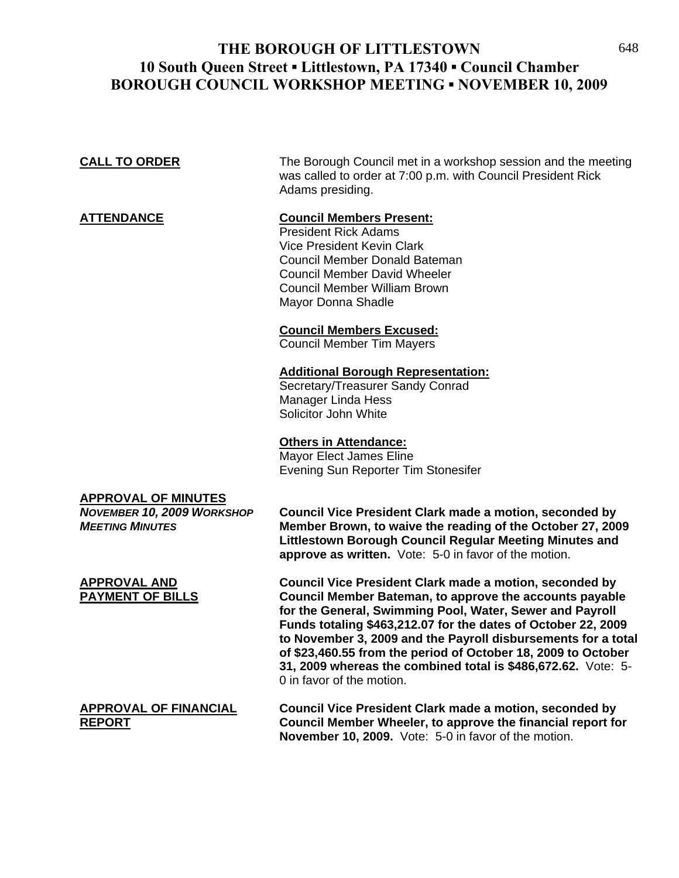# **THE BOROUGH OF LITTLESTOWN** 648 **10 South Queen Street ▪ Littlestown, PA 17340 ▪ Council Chamber BOROUGH COUNCIL WORKSHOP MEETING ▪ NOVEMBER 10, 2009**

**CALL TO ORDER** The Borough Council met in a workshop session and the meeting was called to order at 7:00 p.m. with Council President Rick Adams presiding.

## **ATTENDANCE Council Members Present:**

 President Rick Adams Vice President Kevin Clark Council Member Donald Bateman Council Member David Wheeler Council Member William Brown Mayor Donna Shadle

#### **Council Members Excused:**

Council Member Tim Mayers

#### **Additional Borough Representation:**

 Secretary/Treasurer Sandy Conrad Manager Linda Hess Solicitor John White

#### **Others in Attendance:**

 Mayor Elect James Eline Evening Sun Reporter Tim Stonesifer

# **APPROVAL OF MINUTES**

*NOVEMBER 10, 2009 WORKSHOP* **Council Vice President Clark made a motion, seconded by**  *MEETING MINUTES* **Member Brown, to waive the reading of the October 27, 2009 Littlestown Borough Council Regular Meeting Minutes and approve as written.** Vote: 5-0 in favor of the motion.

**APPROVAL AND Council Vice President Clark made a motion, seconded by PAYMENT OF BILLS Council Member Bateman, to approve the accounts payable for the General, Swimming Pool, Water, Sewer and Payroll Funds totaling \$463,212.07 for the dates of October 22, 2009 to November 3, 2009 and the Payroll disbursements for a total of \$23,460.55 from the period of October 18, 2009 to October 31, 2009 whereas the combined total is \$486,672.62.** Vote: 5- 0 in favor of the motion.

## **APPROVAL OF FINANCIAL Council Vice President Clark made a motion, seconded by REPORT Council Member Wheeler, to approve the financial report for November 10, 2009.** Vote: 5-0 in favor of the motion.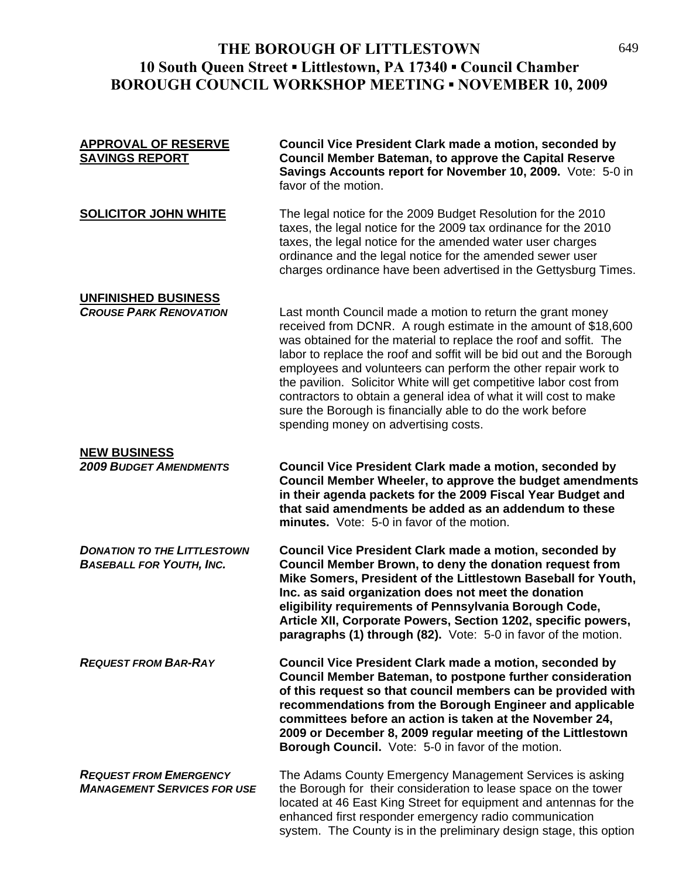# **THE BOROUGH OF LITTLESTOWN** 649 **10 South Queen Street ▪ Littlestown, PA 17340 ▪ Council Chamber BOROUGH COUNCIL WORKSHOP MEETING ▪ NOVEMBER 10, 2009**

# **APPROVAL OF RESERVE Council Vice President Clark made a motion, seconded by SAVINGS REPORT Council Member Bateman, to approve the Capital Reserve Savings Accounts report for November 10, 2009.** Vote: 5-0 in favor of the motion. **SOLICITOR JOHN WHITE** The legal notice for the 2009 Budget Resolution for the 2010 taxes, the legal notice for the 2009 tax ordinance for the 2010 taxes, the legal notice for the amended water user charges ordinance and the legal notice for the amended sewer user charges ordinance have been advertised in the Gettysburg Times. **UNFINISHED BUSINESS**

*CROUSE PARK RENOVATION* Last month Council made a motion to return the grant money received from DCNR. A rough estimate in the amount of \$18,600 was obtained for the material to replace the roof and soffit. The labor to replace the roof and soffit will be bid out and the Borough employees and volunteers can perform the other repair work to the pavilion. Solicitor White will get competitive labor cost from contractors to obtain a general idea of what it will cost to make sure the Borough is financially able to do the work before spending money on advertising costs.

# **NEW BUSINESS**

*2009 BUDGET AMENDMENTS* **Council Vice President Clark made a motion, seconded by Council Member Wheeler, to approve the budget amendments in their agenda packets for the 2009 Fiscal Year Budget and that said amendments be added as an addendum to these minutes.** Vote: 5-0 in favor of the motion.

*DONATION TO THE LITTLESTOWN* **Council Vice President Clark made a motion, seconded by**  *BASEBALL FOR YOUTH, INC.* **Council Member Brown, to deny the donation request from Mike Somers, President of the Littlestown Baseball for Youth, Inc. as said organization does not meet the donation eligibility requirements of Pennsylvania Borough Code, Article XII, Corporate Powers, Section 1202, specific powers, paragraphs (1) through (82).** Vote: 5-0 in favor of the motion.

*REQUEST FROM BAR-RAY* **Council Vice President Clark made a motion, seconded by Council Member Bateman, to postpone further consideration of this request so that council members can be provided with recommendations from the Borough Engineer and applicable committees before an action is taken at the November 24, 2009 or December 8, 2009 regular meeting of the Littlestown Borough Council.** Vote: 5-0 in favor of the motion.

*REQUEST FROM EMERGENCY* The Adams County Emergency Management Services is asking **MANAGEMENT SERVICES FOR USE** the Borough for their consideration to lease space on the tower located at 46 East King Street for equipment and antennas for the enhanced first responder emergency radio communication system. The County is in the preliminary design stage, this option